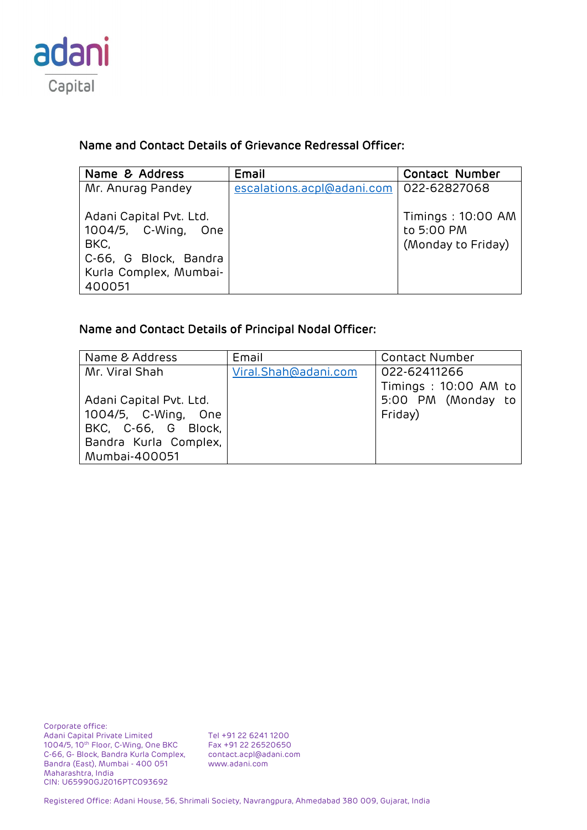

## Name and Contact Details of Grievance Redressal Officer:

| Name & Address                                                                                                      | Email                      | <b>Contact Number</b>                                 |
|---------------------------------------------------------------------------------------------------------------------|----------------------------|-------------------------------------------------------|
| Mr. Anurag Pandey                                                                                                   | escalations.acpl@adani.com | 022-62827068                                          |
| Adani Capital Pvt. Ltd.<br>1004/5, C-Wing, One<br>BKC,<br>C-66, G Block, Bandra<br>Kurla Complex, Mumbai-<br>400051 |                            | Timings: 10:00 AM<br>to 5:00 PM<br>(Monday to Friday) |

## Name and Contact Details of Principal Nodal Officer:

| Name & Address          | Email                | <b>Contact Number</b> |
|-------------------------|----------------------|-----------------------|
| Mr. Viral Shah          | Viral.Shah@adani.com | 022-62411266          |
|                         |                      | Timings: 10:00 AM to  |
| Adani Capital Pvt. Ltd. |                      | 5:00 PM (Monday to    |
| 1004/5, C-Wing, One     |                      | Friday)               |
| BKC, C-66, G Block,     |                      |                       |
| Bandra Kurla Complex,   |                      |                       |
| Mumbai-400051           |                      |                       |